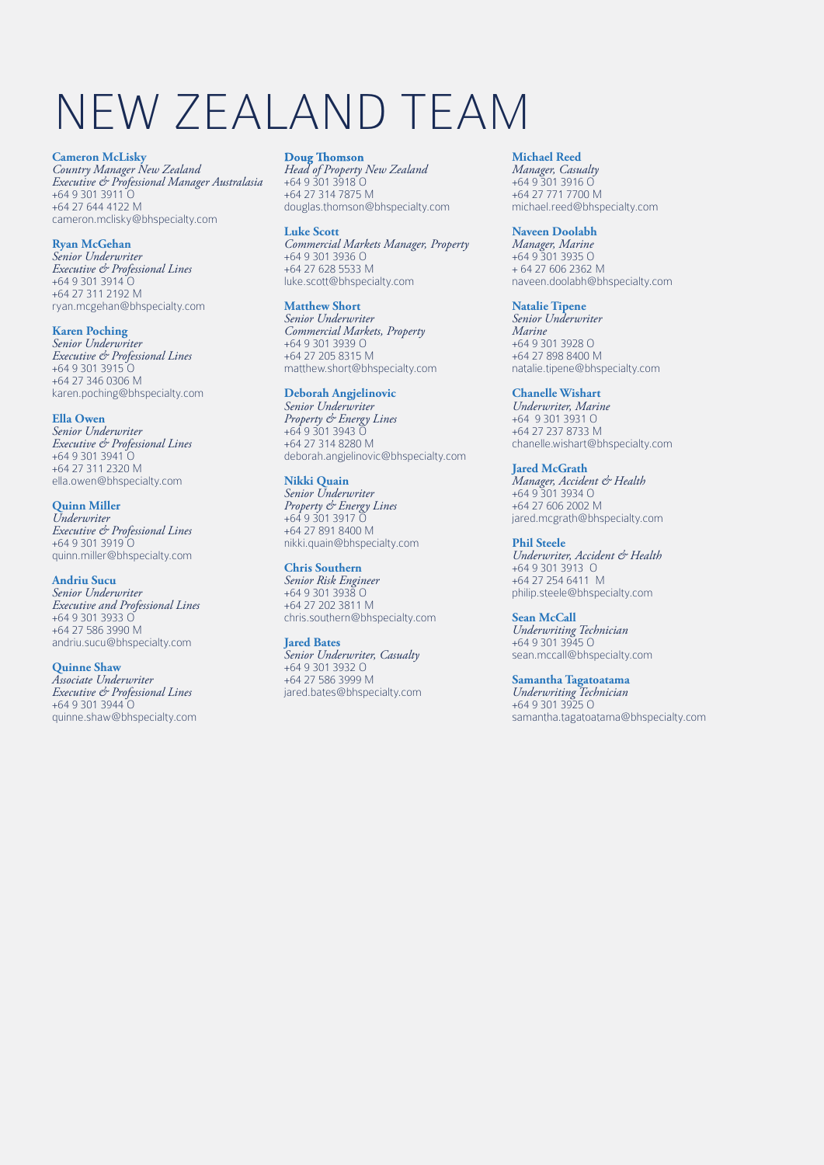# NEW ZEALAND TEAM

**Cameron McLisky** *Country Manager New Zealand Executive & Professional Manager Australasia* +64 9 301 3911 O +64 27 644 4122 M cameron.mclisky@bhspecialty.com

**Ryan McGehan** *Senior Underwriter Executive & Professional Lines*  +64 9 301 3914 O +64 27 311 2192 M ryan.mcgehan@bhspecialty.com

**Karen Poching** *Senior Underwriter Executive & Professional Lines*  +64 9 301 3915 O +64 27 346 0306 M karen.poching@bhspecialty.com

**Ella Owen** *Senior Underwriter Executive & Professional Lines* +64 9 301 3941 O +64 27 311 2320 M ella.owen@bhspecialty.com

**Quinn Miller** *Underwriter Executive & Professional Lines* +64 9 301 3919 O quinn.miller@bhspecialty.com

**Andriu Sucu** *Senior Underwriter Executive and Professional Lines* +64 9 301 3933 O +64 27 586 3990 M andriu.sucu@bhspecialty.com

**Quinne Shaw** *Associate Underwriter Executive & Professional Lines* +64 9 301 3944 O quinne.shaw@bhspecialty.com *Head of Property New Zealand* +64 9 301 3918 O

+64 27 314 7875 M douglas.thomson@bhspecialty.com **Luke Scott** *Commercial Markets Manager, Property*

+64 9 301 3936 O +64 27 628 5533 M luke.scott@bhspecialty.com **Matthew Short**

*Senior Underwriter Commercial Markets, Property* +64 9 301 3939 O +64 27 205 8315 M matthew.short@bhspecialty.com

#### **Deborah Angjelinovic**

*Senior Underwriter Property & Energy Lines* +64 9 301 3943 O +64 27 314 8280 M deborah.angjelinovic@bhspecialty.com

**Nikki Quain** *Senior Underwriter Property & Energy Lines* +64 9 301 3917 O

+64 27 891 8400 M nikki.quain@bhspecialty.com

**Chris Southern**

*Senior Risk Engineer* +64 9 301 3938 O +64 27 202 3811 M chris.southern@bhspecialty.com

**Jared Bates**

*Senior Underwriter, Casualty* +64 9 301 3932 O +64 27 586 3999 M jared.bates@bhspecialty.com

#### **Michael Reed**

*Manager, Casualty* +64 9 301 3916 O +64 27 771 7700 M michael.reed@bhspecialty.com

**Naveen Doolabh**

*Manager, Marine* +64 9 301 3935 O + 64 27 606 2362 M naveen.doolabh@bhspecialty.com

**Natalie Tipene** *Senior Underwriter Marine* +64 9 301 3928 O +64 27 898 8400 M natalie.tipene@bhspecialty.com

**Chanelle Wishart** *Underwriter, Marine* +64 9 301 3931 O +64 27 237 8733 M chanelle.wishart@bhspecialty.com

**Jared McGrath**  *Manager, Accident & Health*  +64 9 301 3934 O +64 27 606 2002 M jared.mcgrath@bhspecialty.com

**Phil Steele** *Underwriter, Accident & Health* +64 9 301 3913 O +64 27 254 6411 M philip.steele@bhspecialty.com

**Sean McCall** *Underwriting Technician* +64 9 301 3945 O sean.mccall@bhspecialty.com

**Samantha Tagatoatama** *Underwriting Technician* +64 9 301 3925 O samantha.tagatoatama@bhspecialty.com